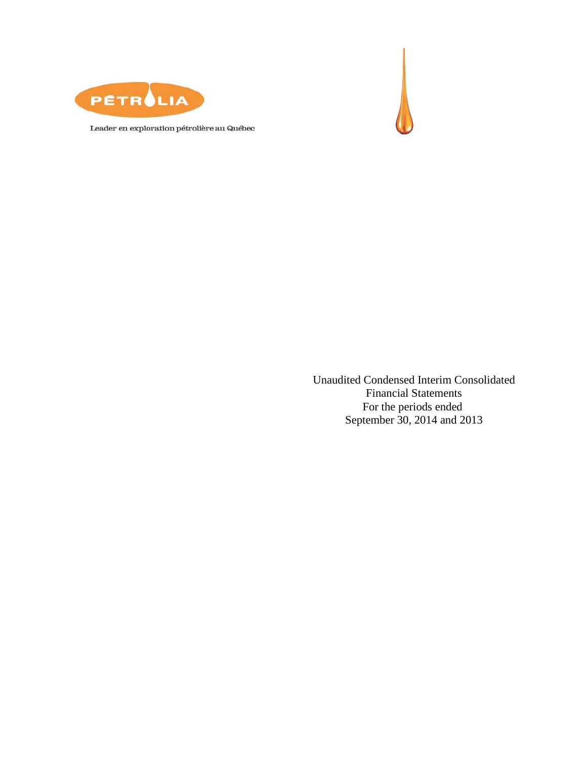



Leader en exploration pétrolière au Québec

Unaudited Condensed Interim Consolidated Financial Statements For the periods ended September 30, 2014 and 2013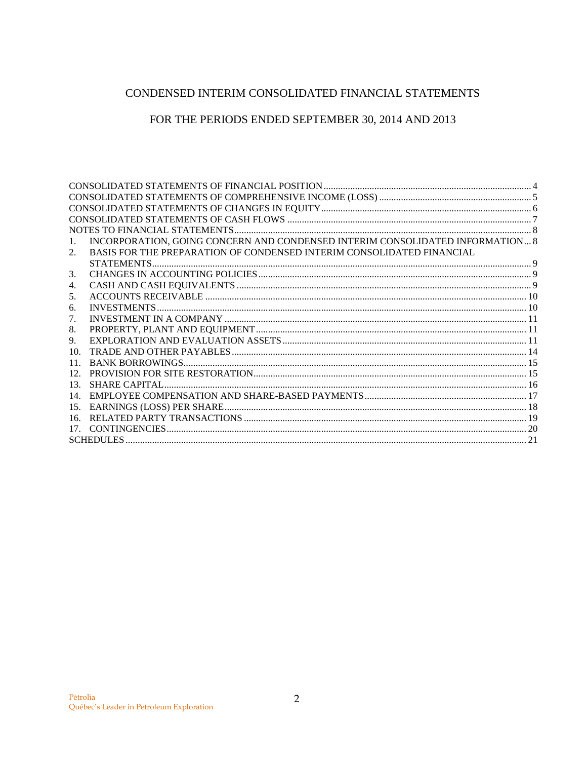# CONDENSED INTERIM CONSOLIDATED FINANCIAL STATEMENTS

# FOR THE PERIODS ENDED SEPTEMBER 30, 2014 AND 2013

| 1.              | INCORPORATION, GOING CONCERN AND CONDENSED INTERIM CONSOLIDATED INFORMATION 8 |  |
|-----------------|-------------------------------------------------------------------------------|--|
| 2.              | BASIS FOR THE PREPARATION OF CONDENSED INTERIM CONSOLIDATED FINANCIAL         |  |
|                 |                                                                               |  |
| 3.              |                                                                               |  |
| 4.              |                                                                               |  |
| 5.              |                                                                               |  |
| 6.              |                                                                               |  |
| 7.              |                                                                               |  |
| 8.              |                                                                               |  |
| 9.              |                                                                               |  |
| 10 <sub>1</sub> |                                                                               |  |
| 11.             |                                                                               |  |
| 12.             |                                                                               |  |
| 13.             |                                                                               |  |
| 14.             |                                                                               |  |
| 15.             |                                                                               |  |
| 16.             |                                                                               |  |
| 17.             |                                                                               |  |
|                 |                                                                               |  |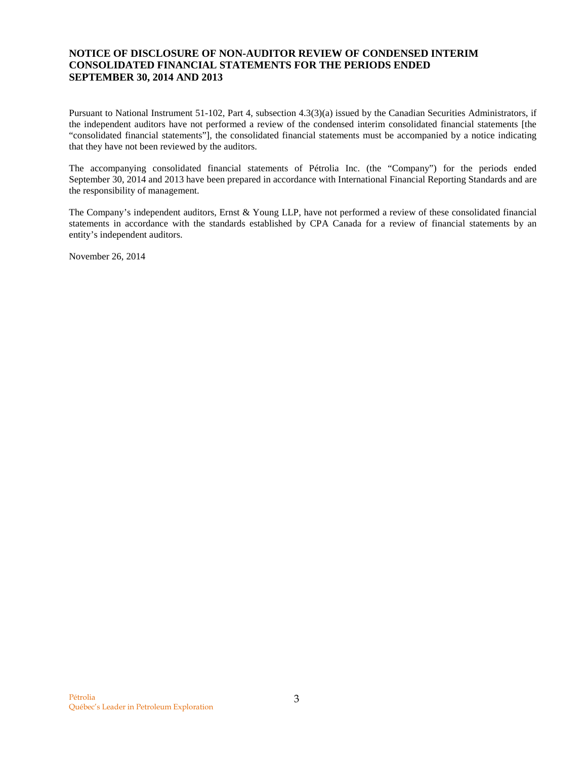## **NOTICE OF DISCLOSURE OF NON-AUDITOR REVIEW OF CONDENSED INTERIM CONSOLIDATED FINANCIAL STATEMENTS FOR THE PERIODS ENDED SEPTEMBER 30, 2014 AND 2013**

Pursuant to National Instrument 51-102, Part 4, subsection 4.3(3)(a) issued by the Canadian Securities Administrators, if the independent auditors have not performed a review of the condensed interim consolidated financial statements [the "consolidated financial statements"], the consolidated financial statements must be accompanied by a notice indicating that they have not been reviewed by the auditors.

The accompanying consolidated financial statements of Pétrolia Inc. (the "Company") for the periods ended September 30, 2014 and 2013 have been prepared in accordance with International Financial Reporting Standards and are the responsibility of management.

The Company's independent auditors, Ernst & Young LLP, have not performed a review of these consolidated financial statements in accordance with the standards established by CPA Canada for a review of financial statements by an entity's independent auditors.

November 26, 2014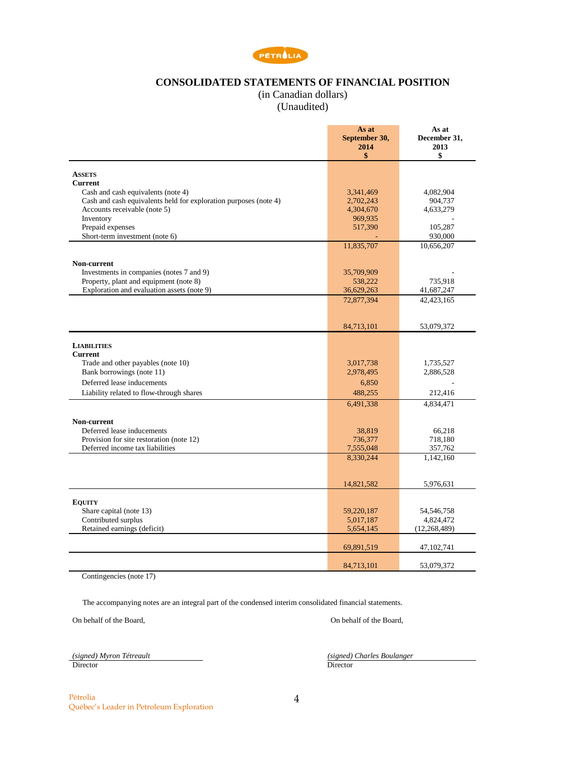

## **CONSOLIDATED STATEMENTS OF FINANCIAL POSITION**

(in Canadian dollars)

(Unaudited)

<span id="page-3-0"></span>

|                                                                  | As at<br>September 30,<br>2014<br>\$ | As at<br>December 31,<br>2013<br>\$ |
|------------------------------------------------------------------|--------------------------------------|-------------------------------------|
| <b>ASSETS</b>                                                    |                                      |                                     |
| <b>Current</b>                                                   |                                      |                                     |
| Cash and cash equivalents (note 4)                               | 3,341,469                            | 4,082,904                           |
| Cash and cash equivalents held for exploration purposes (note 4) | 2,702,243                            | 904,737                             |
| Accounts receivable (note 5)                                     | 4,304,670                            | 4,633,279                           |
| Inventory<br>Prepaid expenses                                    | 969,935<br>517,390                   | 105,287                             |
| Short-term investment (note 6)                                   |                                      | 930,000                             |
|                                                                  | 11,835,707                           | 10,656,207                          |
|                                                                  |                                      |                                     |
| Non-current<br>Investments in companies (notes 7 and 9)          |                                      |                                     |
| Property, plant and equipment (note 8)                           | 35,709,909<br>538,222                | 735,918                             |
| Exploration and evaluation assets (note 9)                       | 36,629,263                           | 41,687,247                          |
|                                                                  | 72,877,394                           | 42,423,165                          |
|                                                                  |                                      |                                     |
|                                                                  | 84,713,101                           | 53,079,372                          |
|                                                                  |                                      |                                     |
| <b>LIABILITIES</b><br><b>Current</b>                             |                                      |                                     |
| Trade and other payables (note 10)                               | 3,017,738                            | 1,735,527                           |
| Bank borrowings (note 11)                                        | 2,978,495                            | 2,886,528                           |
| Deferred lease inducements                                       | 6,850                                |                                     |
| Liability related to flow-through shares                         | 488,255                              | 212,416                             |
|                                                                  | 6,491,338                            | 4,834,471                           |
|                                                                  |                                      |                                     |
| Non-current<br>Deferred lease inducements                        | 38.819                               | 66.218                              |
| Provision for site restoration (note 12)                         | 736,377                              | 718,180                             |
| Deferred income tax liabilities                                  | 7,555,048                            | 357,762                             |
|                                                                  | 8,330,244                            | 1,142,160                           |
|                                                                  |                                      |                                     |
|                                                                  | 14,821,582                           | 5,976,631                           |
|                                                                  |                                      |                                     |
| <b>EQUITY</b>                                                    |                                      |                                     |
| Share capital (note 13)                                          | 59,220,187                           | 54,546,758                          |
| Contributed surplus<br>Retained earnings (deficit)               | 5,017,187<br>5,654,145               | 4,824,472<br>(12,268,489)           |
|                                                                  |                                      |                                     |
|                                                                  | 69,891,519                           | 47, 102, 741                        |
|                                                                  | 84,713,101                           | 53,079,372                          |

Contingencies (note 17)

The accompanying notes are an integral part of the condensed interim consolidated financial statements.

On behalf of the Board, On behalf of the Board,

*(signed) Myron Tétreault (signed) Charles Boulanger* Director Director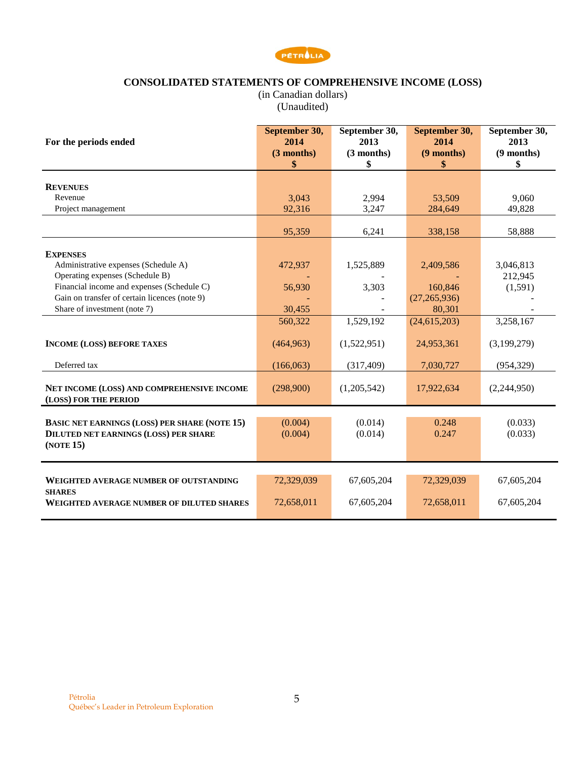

# **CONSOLIDATED STATEMENTS OF COMPREHENSIVE INCOME (LOSS)**

(in Canadian dollars) (Unaudited)

<span id="page-4-0"></span>

| For the periods ended                                                                                             | September 30,<br>2014<br>(3 months)<br>\$ | September 30,<br>2013<br>$(3$ months)<br>\$ | September 30,<br>2014<br>(9 months)<br>\$ | September 30,<br>2013<br>$(9$ months)<br>\$ |
|-------------------------------------------------------------------------------------------------------------------|-------------------------------------------|---------------------------------------------|-------------------------------------------|---------------------------------------------|
|                                                                                                                   |                                           |                                             |                                           |                                             |
| <b>REVENUES</b>                                                                                                   |                                           |                                             |                                           |                                             |
| Revenue                                                                                                           | 3,043                                     | 2,994                                       | 53,509                                    | 9,060                                       |
| Project management                                                                                                | 92,316                                    | 3,247                                       | 284,649                                   | 49,828                                      |
|                                                                                                                   | 95,359                                    | 6,241                                       | 338,158                                   | 58,888                                      |
| <b>EXPENSES</b>                                                                                                   |                                           |                                             |                                           |                                             |
| Administrative expenses (Schedule A)                                                                              | 472,937                                   | 1,525,889                                   | 2,409,586                                 | 3,046,813                                   |
| Operating expenses (Schedule B)                                                                                   |                                           |                                             |                                           | 212,945                                     |
| Financial income and expenses (Schedule C)                                                                        | 56,930                                    | 3,303                                       | 160,846                                   | (1,591)                                     |
| Gain on transfer of certain licences (note 9)                                                                     |                                           |                                             | (27, 265, 936)                            |                                             |
| Share of investment (note 7)                                                                                      | 30,455                                    |                                             | 80,301                                    |                                             |
|                                                                                                                   | 560,322                                   | 1,529,192                                   | (24, 615, 203)                            | 3,258,167                                   |
| <b>INCOME (LOSS) BEFORE TAXES</b>                                                                                 | (464, 963)                                | (1,522,951)                                 | 24,953,361                                | (3,199,279)                                 |
| Deferred tax                                                                                                      | (166,063)                                 | (317, 409)                                  | 7,030,727                                 | (954, 329)                                  |
| NET INCOME (LOSS) AND COMPREHENSIVE INCOME<br>(LOSS) FOR THE PERIOD                                               | (298,900)                                 | (1,205,542)                                 | 17,922,634                                | (2,244,950)                                 |
| <b>BASIC NET EARNINGS (LOSS) PER SHARE (NOTE 15)</b><br><b>DILUTED NET EARNINGS (LOSS) PER SHARE</b><br>(NOTE 15) | (0.004)<br>(0.004)                        | (0.014)<br>(0.014)                          | 0.248<br>0.247                            | (0.033)<br>(0.033)                          |
| WEIGHTED AVERAGE NUMBER OF OUTSTANDING                                                                            | 72,329,039                                | 67,605,204                                  | 72,329,039                                | 67,605,204                                  |
| <b>SHARES</b><br><b>WEIGHTED AVERAGE NUMBER OF DILUTED SHARES</b>                                                 | 72,658,011                                | 67,605,204                                  | 72,658,011                                | 67,605,204                                  |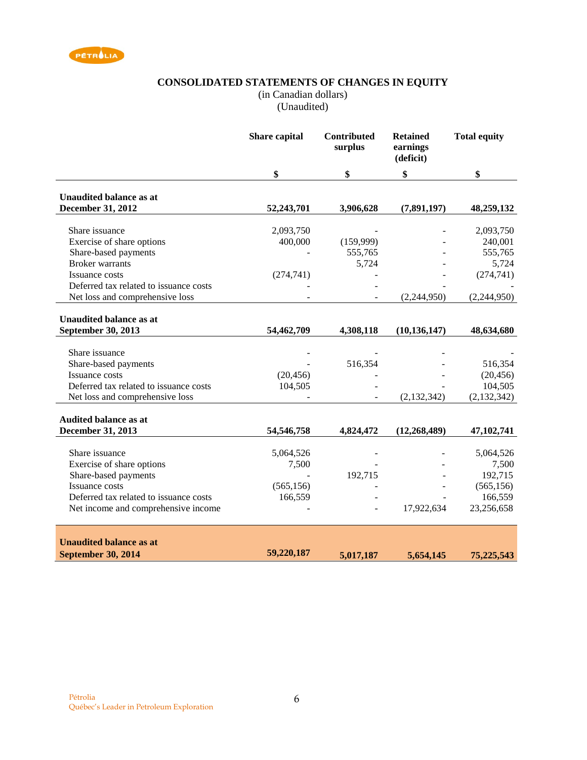<span id="page-5-0"></span>

## **CONSOLIDATED STATEMENTS OF CHANGES IN EQUITY**

(in Canadian dollars)

(Unaudited)

|                                        | Share capital | Contributed<br>surplus | <b>Retained</b><br>earnings<br>(deficit) | <b>Total equity</b> |
|----------------------------------------|---------------|------------------------|------------------------------------------|---------------------|
|                                        | \$            | \$                     | \$                                       | \$                  |
| <b>Unaudited balance as at</b>         |               |                        |                                          |                     |
| December 31, 2012                      | 52,243,701    | 3,906,628              | (7,891,197)                              | 48,259,132          |
|                                        |               |                        |                                          |                     |
| Share issuance                         | 2,093,750     |                        |                                          | 2,093,750           |
| Exercise of share options              | 400,000       | (159,999)              |                                          | 240,001             |
| Share-based payments                   |               | 555,765                |                                          | 555,765             |
| <b>Broker</b> warrants                 |               | 5,724                  |                                          | 5,724               |
| Issuance costs                         | (274, 741)    |                        |                                          | (274, 741)          |
| Deferred tax related to issuance costs |               |                        |                                          |                     |
| Net loss and comprehensive loss        |               |                        | (2,244,950)                              | (2,244,950)         |
| <b>Unaudited balance as at</b>         |               |                        |                                          |                     |
| September 30, 2013                     | 54,462,709    | 4,308,118              | (10, 136, 147)                           | 48,634,680          |
|                                        |               |                        |                                          |                     |
| Share issuance                         |               |                        |                                          |                     |
| Share-based payments                   |               | 516,354                |                                          | 516,354             |
| Issuance costs                         | (20, 456)     |                        |                                          | (20, 456)           |
| Deferred tax related to issuance costs | 104,505       |                        |                                          | 104,505             |
| Net loss and comprehensive loss        |               |                        | (2, 132, 342)                            | (2, 132, 342)       |
|                                        |               |                        |                                          |                     |
| <b>Audited balance as at</b>           |               |                        |                                          |                     |
| December 31, 2013                      | 54,546,758    | 4,824,472              | (12, 268, 489)                           | 47, 102, 741        |
|                                        |               |                        |                                          |                     |
| Share issuance                         | 5,064,526     |                        |                                          | 5,064,526           |
| Exercise of share options              | 7,500         |                        |                                          | 7,500               |
| Share-based payments                   |               | 192,715                |                                          | 192,715             |
| <b>Issuance costs</b>                  | (565, 156)    |                        |                                          | (565, 156)          |
| Deferred tax related to issuance costs | 166,559       |                        |                                          | 166,559             |
| Net income and comprehensive income    |               |                        | 17,922,634                               | 23,256,658          |
|                                        |               |                        |                                          |                     |
| <b>Unaudited balance as at</b>         |               |                        |                                          |                     |
| <b>September 30, 2014</b>              | 59,220,187    | 5,017,187              | 5,654,145                                | 75,225,543          |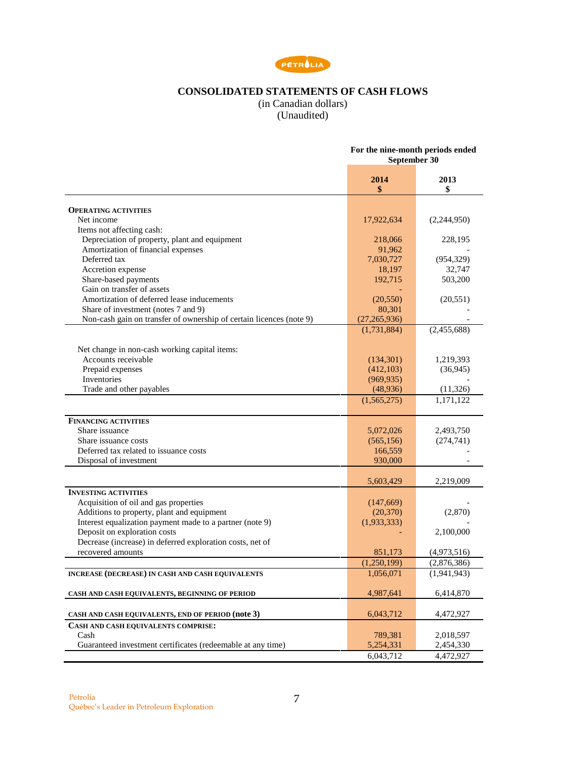

# **CONSOLIDATED STATEMENTS OF CASH FLOWS**

(in Canadian dollars) (Unaudited)

<span id="page-6-0"></span>

|                                                                     | For the nine-month periods ended<br>September 30 |               |  |
|---------------------------------------------------------------------|--------------------------------------------------|---------------|--|
|                                                                     | 2014<br>\$                                       | 2013<br>\$    |  |
| <b>OPERATING ACTIVITIES</b>                                         |                                                  |               |  |
| Net income                                                          | 17,922,634                                       | (2,244,950)   |  |
| Items not affecting cash:                                           |                                                  |               |  |
| Depreciation of property, plant and equipment                       | 218,066                                          | 228,195       |  |
| Amortization of financial expenses                                  | 91,962                                           |               |  |
| Deferred tax                                                        | 7,030,727                                        | (954, 329)    |  |
| Accretion expense                                                   | 18,197                                           | 32,747        |  |
| Share-based payments                                                | 192,715                                          | 503,200       |  |
| Gain on transfer of assets                                          |                                                  |               |  |
| Amortization of deferred lease inducements                          | (20, 550)                                        | (20, 551)     |  |
| Share of investment (notes 7 and 9)                                 | 80,301                                           |               |  |
| Non-cash gain on transfer of ownership of certain licences (note 9) | (27, 265, 936)                                   |               |  |
|                                                                     | (1,731,884)                                      | (2,455,688)   |  |
|                                                                     |                                                  |               |  |
| Net change in non-cash working capital items:                       |                                                  |               |  |
| Accounts receivable                                                 | (134, 301)                                       | 1,219,393     |  |
| Prepaid expenses                                                    | (412,103)                                        | (36, 945)     |  |
| Inventories                                                         | (969, 935)                                       |               |  |
| Trade and other payables                                            | (48,936)                                         | (11, 326)     |  |
|                                                                     | (1, 565, 275)                                    | 1,171,122     |  |
| <b>FINANCING ACTIVITIES</b>                                         |                                                  |               |  |
| Share issuance                                                      | 5,072,026                                        | 2,493,750     |  |
| Share issuance costs                                                | (565, 156)                                       | (274, 741)    |  |
| Deferred tax related to issuance costs                              | 166,559                                          |               |  |
| Disposal of investment                                              | 930,000                                          |               |  |
|                                                                     | 5,603,429                                        | 2,219,009     |  |
| <b>INVESTING ACTIVITIES</b>                                         |                                                  |               |  |
| Acquisition of oil and gas properties                               | (147, 669)                                       |               |  |
| Additions to property, plant and equipment                          | (20, 370)                                        | (2,870)       |  |
| Interest equalization payment made to a partner (note 9)            | (1,933,333)                                      |               |  |
| Deposit on exploration costs                                        |                                                  | 2,100,000     |  |
| Decrease (increase) in deferred exploration costs, net of           |                                                  |               |  |
| recovered amounts                                                   | 851,173                                          | (4,973,516)   |  |
|                                                                     | (1,250,199)                                      | (2,876,386)   |  |
| INCREASE (DECREASE) IN CASH AND CASH EQUIVALENTS                    | 1,056,071                                        | (1, 941, 943) |  |
| CASH AND CASH EQUIVALENTS, BEGINNING OF PERIOD                      | 4,987,641                                        | 6,414,870     |  |
|                                                                     |                                                  |               |  |
| CASH AND CASH EQUIVALENTS, END OF PERIOD (note 3)                   | 6,043,712                                        | 4,472,927     |  |
| CASH AND CASH EQUIVALENTS COMPRISE:                                 |                                                  |               |  |
| Cash                                                                | 789,381                                          | 2,018,597     |  |
| Guaranteed investment certificates (redeemable at any time)         | 5,254,331                                        | 2,454,330     |  |
|                                                                     | 6,043,712                                        | 4,472,927     |  |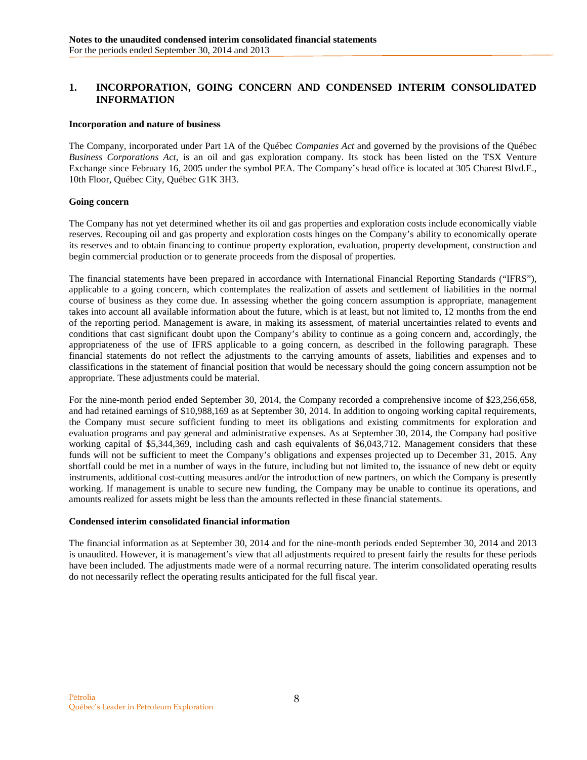# <span id="page-7-0"></span>**1. INCORPORATION, GOING CONCERN AND CONDENSED INTERIM CONSOLIDATED INFORMATION**

### **Incorporation and nature of business**

The Company, incorporated under Part 1A of the Québec *Companies Act* and governed by the provisions of the Québec *Business Corporations Act*, is an oil and gas exploration company. Its stock has been listed on the TSX Venture Exchange since February 16, 2005 under the symbol PEA. The Company's head office is located at 305 Charest Blvd.E., 10th Floor, Québec City, Québec G1K 3H3.

### **Going concern**

The Company has not yet determined whether its oil and gas properties and exploration costs include economically viable reserves. Recouping oil and gas property and exploration costs hinges on the Company's ability to economically operate its reserves and to obtain financing to continue property exploration, evaluation, property development, construction and begin commercial production or to generate proceeds from the disposal of properties.

The financial statements have been prepared in accordance with International Financial Reporting Standards ("IFRS"), applicable to a going concern, which contemplates the realization of assets and settlement of liabilities in the normal course of business as they come due. In assessing whether the going concern assumption is appropriate, management takes into account all available information about the future, which is at least, but not limited to, 12 months from the end of the reporting period. Management is aware, in making its assessment, of material uncertainties related to events and conditions that cast significant doubt upon the Company's ability to continue as a going concern and, accordingly, the appropriateness of the use of IFRS applicable to a going concern, as described in the following paragraph. These financial statements do not reflect the adjustments to the carrying amounts of assets, liabilities and expenses and to classifications in the statement of financial position that would be necessary should the going concern assumption not be appropriate. These adjustments could be material.

For the nine-month period ended September 30, 2014, the Company recorded a comprehensive income of \$23,256,658, and had retained earnings of \$10,988,169 as at September 30, 2014. In addition to ongoing working capital requirements, the Company must secure sufficient funding to meet its obligations and existing commitments for exploration and evaluation programs and pay general and administrative expenses. As at September 30, 2014, the Company had positive working capital of \$5,344,369, including cash and cash equivalents of \$6,043,712. Management considers that these funds will not be sufficient to meet the Company's obligations and expenses projected up to December 31, 2015. Any shortfall could be met in a number of ways in the future, including but not limited to, the issuance of new debt or equity instruments, additional cost-cutting measures and/or the introduction of new partners, on which the Company is presently working. If management is unable to secure new funding, the Company may be unable to continue its operations, and amounts realized for assets might be less than the amounts reflected in these financial statements.

#### **Condensed interim consolidated financial information**

The financial information as at September 30, 2014 and for the nine-month periods ended September 30, 2014 and 2013 is unaudited. However, it is management's view that all adjustments required to present fairly the results for these periods have been included. The adjustments made were of a normal recurring nature. The interim consolidated operating results do not necessarily reflect the operating results anticipated for the full fiscal year.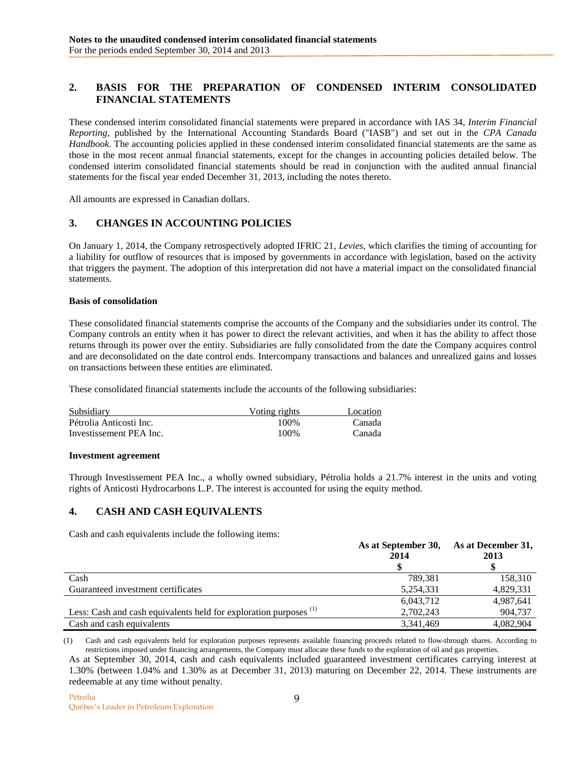# <span id="page-8-0"></span>**2. BASIS FOR THE PREPARATION OF CONDENSED INTERIM CONSOLIDATED FINANCIAL STATEMENTS**

These condensed interim consolidated financial statements were prepared in accordance with IAS 34, *Interim Financial Reporting*, published by the International Accounting Standards Board ("IASB") and set out in the *CPA Canada Handbook*. The accounting policies applied in these condensed interim consolidated financial statements are the same as those in the most recent annual financial statements, except for the changes in accounting policies detailed below. The condensed interim consolidated financial statements should be read in conjunction with the audited annual financial statements for the fiscal year ended December 31, 2013, including the notes thereto.

All amounts are expressed in Canadian dollars.

## <span id="page-8-1"></span>**3. CHANGES IN ACCOUNTING POLICIES**

On January 1, 2014, the Company retrospectively adopted IFRIC 21, *Levies*, which clarifies the timing of accounting for a liability for outflow of resources that is imposed by governments in accordance with legislation, based on the activity that triggers the payment. The adoption of this interpretation did not have a material impact on the consolidated financial statements.

### **Basis of consolidation**

These consolidated financial statements comprise the accounts of the Company and the subsidiaries under its control. The Company controls an entity when it has power to direct the relevant activities, and when it has the ability to affect those returns through its power over the entity. Subsidiaries are fully consolidated from the date the Company acquires control and are deconsolidated on the date control ends. Intercompany transactions and balances and unrealized gains and losses on transactions between these entities are eliminated.

These consolidated financial statements include the accounts of the following subsidiaries:

| Subsidiary              | Voting rights | Location |
|-------------------------|---------------|----------|
| Pétrolia Anticosti Inc. | 100%          | Canada   |
| Investissement PEA Inc. | 100%          | Canada   |

#### **Investment agreement**

Through Investissement PEA Inc., a wholly owned subsidiary, Pétrolia holds a 21.7% interest in the units and voting rights of Anticosti Hydrocarbons L.P. The interest is accounted for using the equity method.

## <span id="page-8-2"></span>**4. CASH AND CASH EQUIVALENTS**

Cash and cash equivalents include the following items:

|                                                                              | As at September 30,<br>2014 | As at December 31,<br>2013 |
|------------------------------------------------------------------------------|-----------------------------|----------------------------|
|                                                                              |                             |                            |
| Cash                                                                         | 789.381                     | 158,310                    |
| Guaranteed investment certificates                                           | 5.254.331                   | 4,829,331                  |
|                                                                              | 6,043,712                   | 4,987,641                  |
| Less: Cash and cash equivalents held for exploration purposes <sup>(1)</sup> | 2,702,243                   | 904,737                    |
| Cash and cash equivalents                                                    | 3,341,469                   | 4,082,904                  |

(1) Cash and cash equivalents held for exploration purposes represents available financing proceeds related to flow-through shares. According to restrictions imposed under financing arrangements, the Company must allocate these funds to the exploration of oil and gas properties.

As at September 30, 2014, cash and cash equivalents included guaranteed investment certificates carrying interest at 1.30% (between 1.04% and 1.30% as at December 31, 2013) maturing on December 22, 2014. These instruments are redeemable at any time without penalty.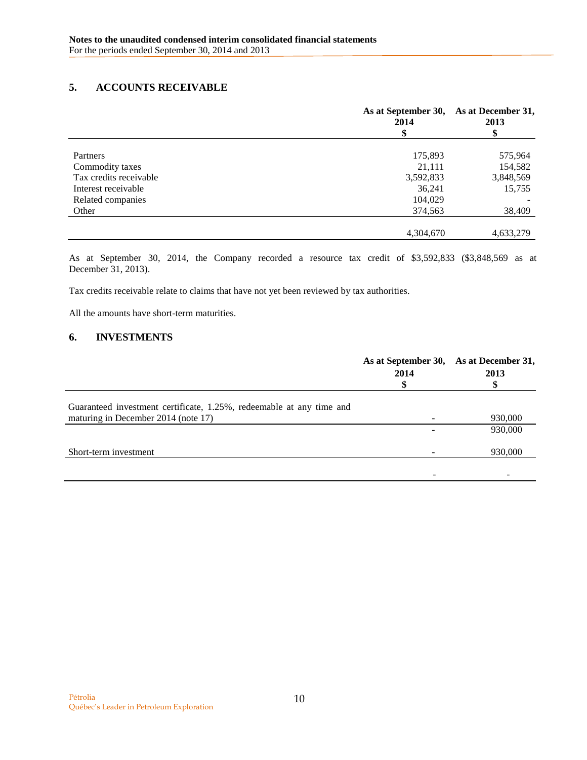# <span id="page-9-0"></span>**5. ACCOUNTS RECEIVABLE**

|                        | As at September 30,<br>2014 | As at December 31,<br>2013 |
|------------------------|-----------------------------|----------------------------|
|                        | \$                          | \$                         |
| Partners               | 175,893                     | 575,964                    |
| Commodity taxes        | 21,111                      | 154,582                    |
| Tax credits receivable | 3,592,833                   | 3,848,569                  |
| Interest receivable    | 36,241                      | 15,755                     |
| Related companies      | 104,029                     |                            |
| Other                  | 374,563                     | 38,409                     |
|                        | 4,304,670                   | 4,633,279                  |

As at September 30, 2014, the Company recorded a resource tax credit of \$3,592,833 (\$3,848,569 as at December 31, 2013).

Tax credits receivable relate to claims that have not yet been reviewed by tax authorities.

All the amounts have short-term maturities.

## <span id="page-9-1"></span>**6. INVESTMENTS**

|                                                                                                             | As at September 30, As at December 31,<br>2014 | 2013    |
|-------------------------------------------------------------------------------------------------------------|------------------------------------------------|---------|
| Guaranteed investment certificate, 1.25%, redeemable at any time and<br>maturing in December 2014 (note 17) |                                                | 930,000 |
|                                                                                                             |                                                | 930,000 |
| Short-term investment                                                                                       |                                                | 930,000 |
|                                                                                                             |                                                |         |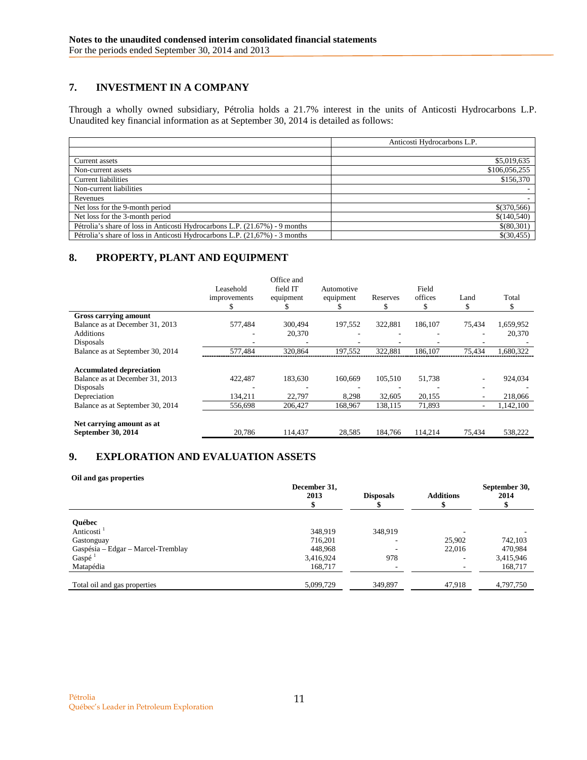# <span id="page-10-0"></span>**7. INVESTMENT IN A COMPANY**

Through a wholly owned subsidiary, Pétrolia holds a 21.7% interest in the units of Anticosti Hydrocarbons L.P. Unaudited key financial information as at September 30, 2014 is detailed as follows:

|                                                                             | Anticosti Hydrocarbons L.P. |
|-----------------------------------------------------------------------------|-----------------------------|
|                                                                             |                             |
| Current assets                                                              | \$5,019,635                 |
| Non-current assets                                                          | \$106,056,255               |
| <b>Current liabilities</b>                                                  | \$156,370                   |
| Non-current liabilities                                                     |                             |
| Revenues                                                                    |                             |
| Net loss for the 9-month period                                             | \$(370,566)                 |
| Net loss for the 3-month period                                             | \$(140,540)                 |
| Pétrolia's share of loss in Anticosti Hydrocarbons L.P. (21.67%) - 9 months | \$(80,301)                  |
| Pétrolia's share of loss in Anticosti Hydrocarbons L.P. (21,67%) - 3 months | \$(30, 455)                 |

# <span id="page-10-1"></span>**8. PROPERTY, PLANT AND EQUIPMENT**

|                                                                                                 | Leasehold<br>improvements | Office and<br>field IT<br>equipment | Automotive<br>equipment<br>ה. | Reserves<br>ж     | Field<br>offices<br>S | Land<br>\$ | Total              |
|-------------------------------------------------------------------------------------------------|---------------------------|-------------------------------------|-------------------------------|-------------------|-----------------------|------------|--------------------|
| Gross carrying amount                                                                           |                           |                                     |                               |                   |                       |            |                    |
| Balance as at December 31, 2013                                                                 | 577.484                   | 300,494                             | 197,552                       | 322.881           | 186,107               | 75.434     | 1,659,952          |
| <b>Additions</b>                                                                                |                           | 20,370                              |                               |                   | ۰                     | ۰          | 20,370             |
| Disposals                                                                                       |                           |                                     |                               |                   |                       |            |                    |
| Balance as at September 30, 2014                                                                | 577,484                   | 320,864                             | 197,552                       | 322.881           | 186,107               | 75,434     | 1,680,322          |
| <b>Accumulated depreciation</b><br>Balance as at December 31, 2013<br>Disposals<br>Depreciation | 422,487<br>134,211        | 183,630<br>22,797                   | 160,669<br>8,298              | 105,510<br>32,605 | 51,738<br>20,155      |            | 924,034<br>218,066 |
| Balance as at September 30, 2014                                                                | 556,698                   | 206,427                             | 168,967                       | 138,115           | 71,893                | ٠          | 1,142,100          |
| Net carrying amount as at<br>September 30, 2014                                                 | 20,786                    | 114,437                             | 28,585                        | 184.766           | 114,214               | 75,434     | 538,222            |

# <span id="page-10-2"></span>**9. EXPLORATION AND EVALUATION ASSETS**

#### **Oil and gas properties**

|                                    | December 31,<br>2013 | <b>Disposals</b> | <b>Additions</b> | September 30,<br>2014 |
|------------------------------------|----------------------|------------------|------------------|-----------------------|
|                                    |                      |                  |                  |                       |
| <b>Ouébec</b>                      |                      |                  |                  |                       |
| Anticosti <sup>1</sup>             | 348,919              | 348,919          |                  |                       |
| Gastonguay                         | 716,201              | -                | 25,902           | 742,103               |
| Gaspésia - Edgar - Marcel-Tremblay | 448,968              |                  | 22,016           | 470,984               |
| Gaspé <sup>1</sup>                 | 3,416,924            | 978              |                  | 3,415,946             |
| Matapédia                          | 168,717              | ٠                |                  | 168,717               |
|                                    |                      |                  |                  |                       |
| Total oil and gas properties       | 5,099,729            | 349,897          | 47,918           | 4,797,750             |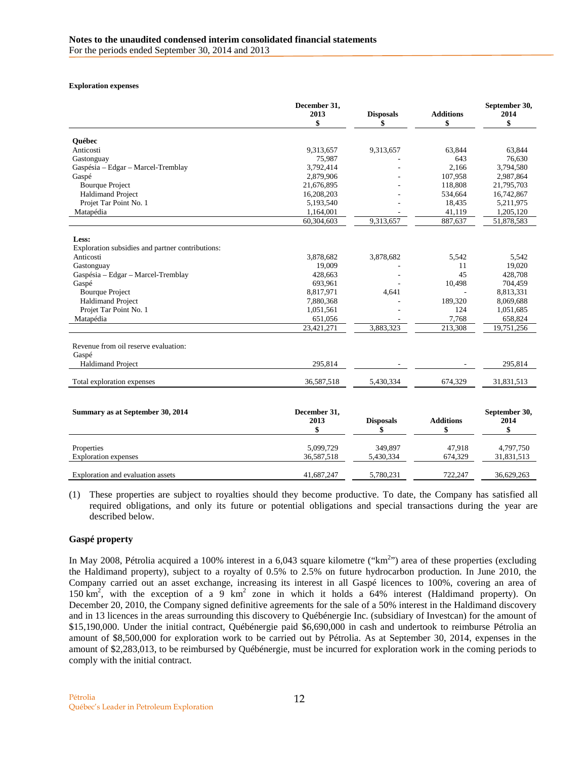#### **Exploration expenses**

|                                                  | December 31,<br>2013<br>\$ | <b>Disposals</b><br>\$ | <b>Additions</b><br>\$ | September 30,<br>2014<br>\$ |
|--------------------------------------------------|----------------------------|------------------------|------------------------|-----------------------------|
| <b>Ouébec</b>                                    |                            |                        |                        |                             |
| Anticosti                                        | 9,313,657                  | 9,313,657              | 63,844                 | 63,844                      |
| Gastonguay                                       | 75,987                     |                        | 643                    | 76,630                      |
| Gaspésia - Edgar - Marcel-Tremblay               | 3,792,414                  |                        | 2,166                  | 3,794,580                   |
| Gaspé                                            | 2,879,906                  |                        | 107,958                | 2,987,864                   |
| <b>Bourque Project</b>                           | 21,676,895                 |                        | 118,808                | 21,795,703                  |
| <b>Haldimand Project</b>                         | 16,208,203                 |                        | 534,664                | 16,742,867                  |
| Projet Tar Point No. 1                           | 5,193,540                  |                        | 18,435                 | 5,211,975                   |
| Matapédia                                        | 1,164,001                  |                        | 41,119                 | 1,205,120                   |
|                                                  | 60,304,603                 | 9,313,657              | 887,637                | 51,878,583                  |
| Less:                                            |                            |                        |                        |                             |
| Exploration subsidies and partner contributions: |                            |                        |                        |                             |
| Anticosti                                        | 3,878,682                  | 3,878,682              | 5.542                  | 5.542                       |
| Gastonguay                                       | 19,009                     |                        | 11                     | 19.020                      |
| Gaspésia - Edgar - Marcel-Tremblay               | 428,663                    |                        | 45                     | 428,708                     |
| Gaspé                                            | 693,961                    |                        | 10,498                 | 704,459                     |
| <b>Bourque Project</b>                           | 8,817,971                  | 4,641                  |                        | 8,813,331                   |
| <b>Haldimand Project</b>                         | 7,880,368                  |                        | 189,320                | 8,069,688                   |
| Projet Tar Point No. 1                           | 1,051,561                  |                        | 124                    | 1,051,685                   |
| Matapédia                                        | 651,056                    |                        | 7,768                  | 658,824                     |
|                                                  | 23,421,271                 | 3,883,323              | 213,308                | 19,751,256                  |
| Revenue from oil reserve evaluation:             |                            |                        |                        |                             |
| Gaspé                                            |                            |                        |                        |                             |
| <b>Haldimand Project</b>                         | 295,814                    |                        |                        | 295,814                     |
| Total exploration expenses                       | 36,587,518                 | 5,430,334              | 674,329                | 31,831,513                  |
|                                                  |                            |                        |                        |                             |
| Summary as at September 30, 2014                 | December 31,               |                        |                        | September 30,               |
|                                                  | 2013<br>\$                 | <b>Disposals</b><br>\$ | <b>Additions</b><br>\$ | 2014<br>\$                  |
| Properties                                       | 5,099,729                  | 349.897                | 47,918                 | 4,797,750                   |
| <b>Exploration</b> expenses                      | 36,587,518                 | 5,430,334              | 674,329                | 31,831,513                  |
| Exploration and evaluation assets                | 41,687,247                 | 5,780,231              | 722.247                | 36,629,263                  |

(1) These properties are subject to royalties should they become productive. To date, the Company has satisfied all required obligations, and only its future or potential obligations and special transactions during the year are described below.

## **Gaspé property**

In May 2008, Pétrolia acquired a 100% interest in a 6,043 square kilometre (" $km<sup>2</sup>$ ") area of these properties (excluding the Haldimand property), subject to a royalty of 0.5% to 2.5% on future hydrocarbon production. In June 2010, the Company carried out an asset exchange, increasing its interest in all Gaspé licences to 100%, covering an area of 150 km<sup>2</sup>, with the exception of a 9 km<sup>2</sup> zone in which it holds a 64% interest (Haldimand property). On December 20, 2010, the Company signed definitive agreements for the sale of a 50% interest in the Haldimand discovery and in 13 licences in the areas surrounding this discovery to Québénergie Inc. (subsidiary of Investcan) for the amount of \$15,190,000. Under the initial contract, Québénergie paid \$6,690,000 in cash and undertook to reimburse Pétrolia an amount of \$8,500,000 for exploration work to be carried out by Pétrolia. As at September 30, 2014, expenses in the amount of \$2,283,013, to be reimbursed by Québénergie, must be incurred for exploration work in the coming periods to comply with the initial contract.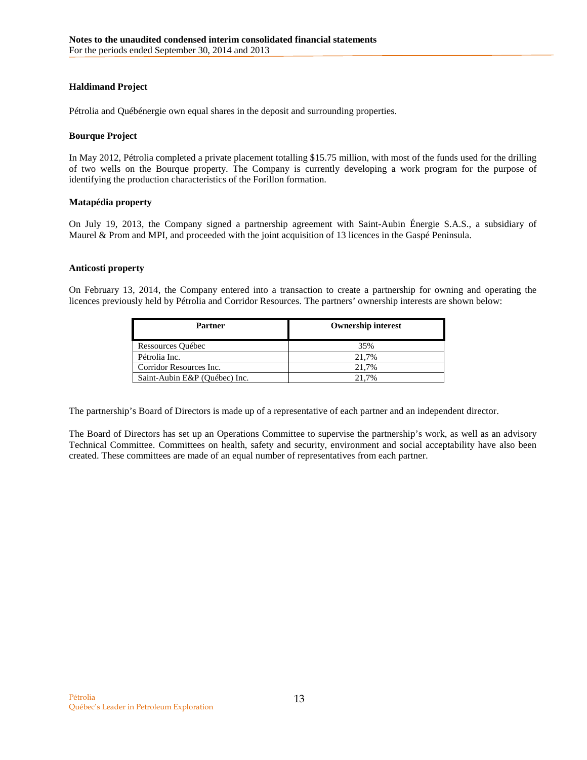## **Haldimand Project**

Pétrolia and Québénergie own equal shares in the deposit and surrounding properties.

### **Bourque Project**

In May 2012, Pétrolia completed a private placement totalling \$15.75 million, with most of the funds used for the drilling of two wells on the Bourque property. The Company is currently developing a work program for the purpose of identifying the production characteristics of the Forillon formation.

### **Matapédia property**

On July 19, 2013, the Company signed a partnership agreement with Saint-Aubin Énergie S.A.S., a subsidiary of Maurel & Prom and MPI, and proceeded with the joint acquisition of 13 licences in the Gaspé Peninsula.

### **Anticosti property**

On February 13, 2014, the Company entered into a transaction to create a partnership for owning and operating the licences previously held by Pétrolia and Corridor Resources. The partners' ownership interests are shown below:

| Partner                       | <b>Ownership interest</b> |
|-------------------------------|---------------------------|
| Ressources Québec             | 35%                       |
| Pétrolia Inc.                 | 21.7%                     |
| Corridor Resources Inc.       | 21.7%                     |
| Saint-Aubin E&P (Ouébec) Inc. | 21.7%                     |

The partnership's Board of Directors is made up of a representative of each partner and an independent director.

The Board of Directors has set up an Operations Committee to supervise the partnership's work, as well as an advisory Technical Committee. Committees on health, safety and security, environment and social acceptability have also been created. These committees are made of an equal number of representatives from each partner.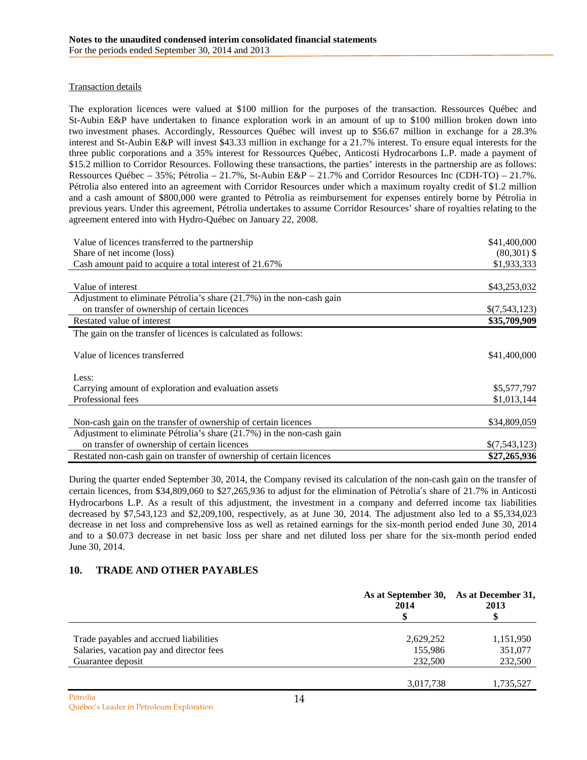## Transaction details

The exploration licences were valued at \$100 million for the purposes of the transaction. Ressources Québec and St-Aubin E&P have undertaken to finance exploration work in an amount of up to \$100 million broken down into two investment phases. Accordingly, Ressources Québec will invest up to \$56.67 million in exchange for a 28.3% interest and St-Aubin E&P will invest \$43.33 million in exchange for a 21.7% interest. To ensure equal interests for the three public corporations and a 35% interest for Ressources Québec, Anticosti Hydrocarbons L.P. made a payment of \$15.2 million to Corridor Resources. Following these transactions, the parties' interests in the partnership are as follows: Ressources Québec – 35%; Pétrolia – 21.7%, St-Aubin E&P – 21.7% and Corridor Resources Inc (CDH-TO) – 21.7%. Pétrolia also entered into an agreement with Corridor Resources under which a maximum royalty credit of \$1.2 million and a cash amount of \$800,000 were granted to Pétrolia as reimbursement for expenses entirely borne by Pétrolia in previous years. Under this agreement, Pétrolia undertakes to assume Corridor Resources' share of royalties relating to the agreement entered into with Hydro-Québec on January 22, 2008.

| Value of licences transferred to the partnership                      | \$41,400,000  |
|-----------------------------------------------------------------------|---------------|
| Share of net income (loss)                                            | $(80,301)$ \$ |
| Cash amount paid to acquire a total interest of 21.67%                | \$1,933,333   |
|                                                                       |               |
| Value of interest                                                     | \$43,253,032  |
| Adjustment to eliminate Pétrolia's share (21.7%) in the non-cash gain |               |
| on transfer of ownership of certain licences                          | \$(7,543,123) |
| Restated value of interest                                            | \$35,709,909  |
| The gain on the transfer of licences is calculated as follows:        |               |
|                                                                       |               |
| Value of licences transferred                                         | \$41,400,000  |
|                                                                       |               |
| Less:                                                                 |               |
| Carrying amount of exploration and evaluation assets                  | \$5,577,797   |
| Professional fees                                                     | \$1,013,144   |
| Non-cash gain on the transfer of ownership of certain licences        | \$34,809,059  |
| Adjustment to eliminate Pétrolia's share (21.7%) in the non-cash gain |               |
|                                                                       |               |
| on transfer of ownership of certain licences                          | \$(7,543,123) |
| Restated non-cash gain on transfer of ownership of certain licences   | \$27,265,936  |

During the quarter ended September 30, 2014, the Company revised its calculation of the non-cash gain on the transfer of certain licences, from \$34,809,060 to \$27,265,936 to adjust for the elimination of Pétrolia's share of 21.7% in Anticosti Hydrocarbons L.P. As a result of this adjustment, the investment in a company and deferred income tax liabilities decreased by \$7,543,123 and \$2,209,100, respectively, as at June 30, 2014. The adjustment also led to a \$5,334,023 decrease in net loss and comprehensive loss as well as retained earnings for the six-month period ended June 30, 2014 and to a \$0.073 decrease in net basic loss per share and net diluted loss per share for the six-month period ended June 30, 2014.

# <span id="page-13-0"></span>**10. TRADE AND OTHER PAYABLES**

|                                          | As at September 30, As at December 31,<br>2014 | 2013      |  |
|------------------------------------------|------------------------------------------------|-----------|--|
|                                          |                                                |           |  |
| Trade payables and accrued liabilities   | 2,629,252                                      | 1,151,950 |  |
| Salaries, vacation pay and director fees | 155,986                                        | 351,077   |  |
| Guarantee deposit                        | 232,500                                        | 232,500   |  |
|                                          | 3,017,738                                      | 1,735,527 |  |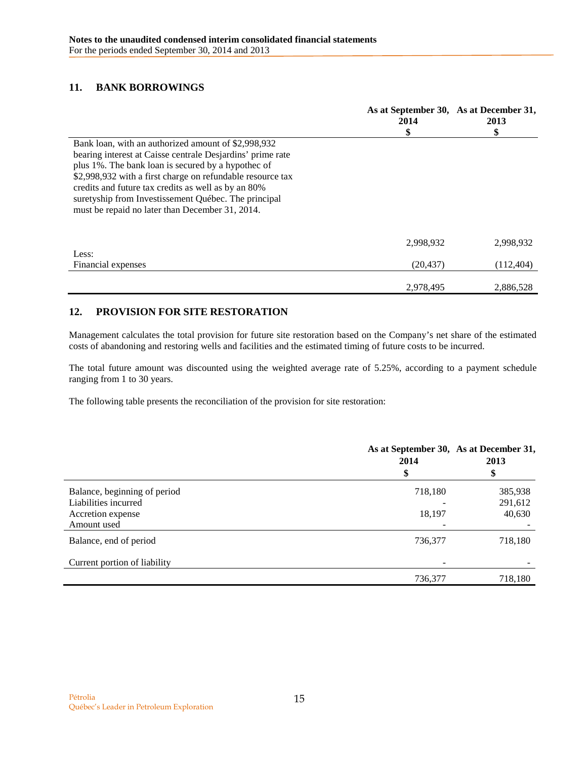# <span id="page-14-0"></span>**11. BANK BORROWINGS**

|                                                            | As at September 30, As at December 31,<br>2014<br>\$ | 2013<br>\$ |
|------------------------------------------------------------|------------------------------------------------------|------------|
| Bank loan, with an authorized amount of \$2,998,932        |                                                      |            |
| bearing interest at Caisse centrale Desjardins' prime rate |                                                      |            |
| plus 1%. The bank loan is secured by a hypothec of         |                                                      |            |
| \$2,998,932 with a first charge on refundable resource tax |                                                      |            |
| credits and future tax credits as well as by an 80%        |                                                      |            |
| suretyship from Investissement Québec. The principal       |                                                      |            |
| must be repaid no later than December 31, 2014.            |                                                      |            |
|                                                            |                                                      |            |
|                                                            | 2,998,932                                            | 2,998,932  |
| Less:                                                      |                                                      |            |
| Financial expenses                                         | (20, 437)                                            | (112, 404) |
|                                                            |                                                      |            |
|                                                            | 2,978,495                                            | 2,886,528  |

# <span id="page-14-1"></span>**12. PROVISION FOR SITE RESTORATION**

Management calculates the total provision for future site restoration based on the Company's net share of the estimated costs of abandoning and restoring wells and facilities and the estimated timing of future costs to be incurred.

The total future amount was discounted using the weighted average rate of 5.25%, according to a payment schedule ranging from 1 to 30 years.

The following table presents the reconciliation of the provision for site restoration:

|                              | As at September 30, As at December 31,<br>2014<br>\$ | 2013<br>\$ |
|------------------------------|------------------------------------------------------|------------|
| Balance, beginning of period | 718,180                                              | 385,938    |
| Liabilities incurred         |                                                      | 291,612    |
| Accretion expense            | 18,197                                               | 40,630     |
| Amount used                  |                                                      |            |
| Balance, end of period       | 736,377                                              | 718,180    |
| Current portion of liability |                                                      |            |
|                              | 736,377                                              | 718,180    |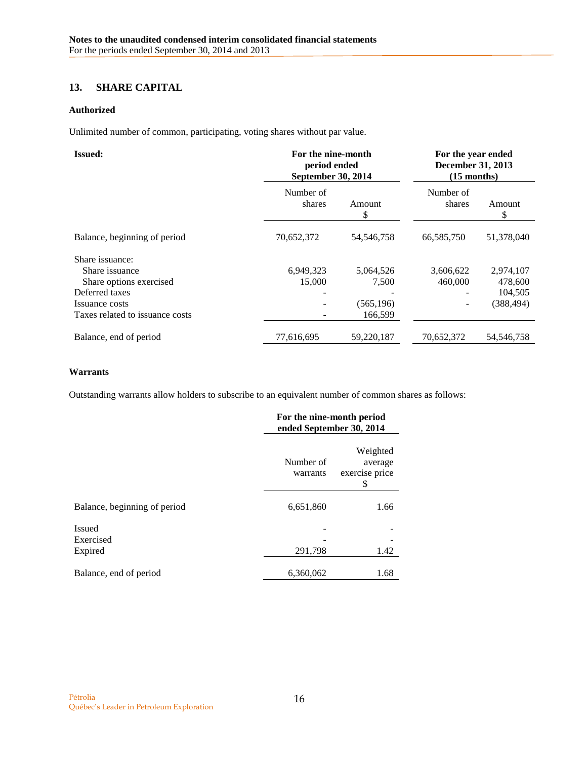# <span id="page-15-0"></span>**13. SHARE CAPITAL**

## **Authorized**

Unlimited number of common, participating, voting shares without par value.

| <b>Issued:</b>                                                                                                                      |                     | For the nine-month<br>period ended<br>September 30, 2014 |                      | For the year ended<br>December 31, 2013<br>$(15$ months) |  |
|-------------------------------------------------------------------------------------------------------------------------------------|---------------------|----------------------------------------------------------|----------------------|----------------------------------------------------------|--|
|                                                                                                                                     | Number of<br>shares | Amount                                                   | Number of<br>shares  | Amount<br>S                                              |  |
| Balance, beginning of period                                                                                                        | 70,652,372          | 54, 546, 758                                             | 66,585,750           | 51,378,040                                               |  |
| Share issuance:<br>Share issuance<br>Share options exercised<br>Deferred taxes<br>Issuance costs<br>Taxes related to issuance costs | 6,949,323<br>15,000 | 5,064,526<br>7.500<br>(565, 196)<br>166,599              | 3,606,622<br>460,000 | 2,974,107<br>478,600<br>104,505<br>(388, 494)            |  |
| Balance, end of period                                                                                                              | 77,616,695          | 59,220,187                                               | 70,652,372           | 54, 546, 758                                             |  |

## **Warrants**

Outstanding warrants allow holders to subscribe to an equivalent number of common shares as follows:

|                                       |                       | For the nine-month period<br>ended September 30, 2014 |  |  |
|---------------------------------------|-----------------------|-------------------------------------------------------|--|--|
|                                       | Number of<br>warrants | Weighted<br>average<br>exercise price<br>\$           |  |  |
| Balance, beginning of period          | 6,651,860             | 1.66                                                  |  |  |
| <b>Issued</b><br>Exercised<br>Expired | 291,798               | 1.42                                                  |  |  |
| Balance, end of period                | 6,360,062             | 1.68                                                  |  |  |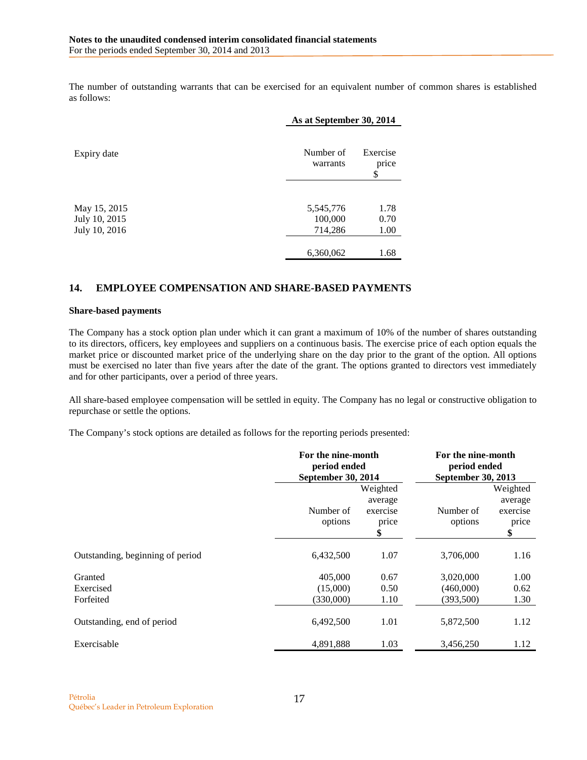The number of outstanding warrants that can be exercised for an equivalent number of common shares is established as follows:

|                                | As at September 30, 2014 |                         |
|--------------------------------|--------------------------|-------------------------|
| Expiry date                    | Number of<br>warrants    | Exercise<br>price<br>\$ |
| May 15, 2015                   | 5,545,776                | 1.78                    |
| July 10, 2015<br>July 10, 2016 | 100,000<br>714,286       | 0.70<br>1.00            |
|                                | 6,360,062                | 1.68                    |

# <span id="page-16-0"></span>**14. EMPLOYEE COMPENSATION AND SHARE-BASED PAYMENTS**

#### **Share-based payments**

The Company has a stock option plan under which it can grant a maximum of 10% of the number of shares outstanding to its directors, officers, key employees and suppliers on a continuous basis. The exercise price of each option equals the market price or discounted market price of the underlying share on the day prior to the grant of the option. All options must be exercised no later than five years after the date of the grant. The options granted to directors vest immediately and for other participants, over a period of three years.

All share-based employee compensation will be settled in equity. The Company has no legal or constructive obligation to repurchase or settle the options.

The Company's stock options are detailed as follows for the reporting periods presented:

|                                  | For the nine-month<br>period ended |                                                | For the nine-month<br>period ended |                                                |
|----------------------------------|------------------------------------|------------------------------------------------|------------------------------------|------------------------------------------------|
|                                  | September 30, 2014                 |                                                | September 30, 2013                 |                                                |
|                                  | Number of<br>options               | Weighted<br>average<br>exercise<br>price<br>\$ | Number of<br>options               | Weighted<br>average<br>exercise<br>price<br>\$ |
| Outstanding, beginning of period | 6,432,500                          | 1.07                                           | 3,706,000                          | 1.16                                           |
| Granted                          | 405,000                            | 0.67                                           | 3,020,000                          | 1.00                                           |
| Exercised                        | (15,000)                           | 0.50                                           | (460,000)                          | 0.62                                           |
| Forfeited                        | (330,000)                          | 1.10                                           | (393,500)                          | 1.30                                           |
| Outstanding, end of period       | 6,492,500                          | 1.01                                           | 5,872,500                          | 1.12                                           |
| Exercisable                      | 4,891,888                          | 1.03                                           | 3,456,250                          | 1.12                                           |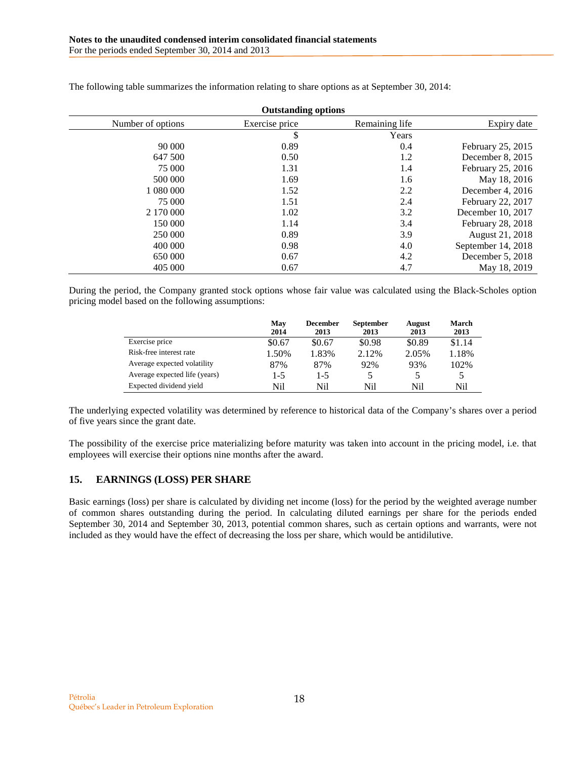| <b>Outstanding options</b> |                |                |                    |
|----------------------------|----------------|----------------|--------------------|
| Number of options          | Exercise price | Remaining life | Expiry date        |
|                            | \$             | Years          |                    |
| 90 000                     | 0.89           | 0.4            | February 25, 2015  |
| 647 500                    | 0.50           | 1.2            | December $8, 2015$ |
| 75 000                     | 1.31           | 1.4            | February 25, 2016  |
| 500 000                    | 1.69           | 1.6            | May 18, 2016       |
| 1 080 000                  | 1.52           | 2.2            | December 4, 2016   |
| 75 000                     | 1.51           | 2.4            | February 22, 2017  |
| 2 170 000                  | 1.02           | 3.2            | December 10, 2017  |
| 150 000                    | 1.14           | 3.4            | February 28, 2018  |
| 250 000                    | 0.89           | 3.9            | August 21, 2018    |
| 400 000                    | 0.98           | 4.0            | September 14, 2018 |
| 650 000                    | 0.67           | 4.2            | December 5, 2018   |
| 405 000                    | 0.67           | 4.7            | May 18, 2019       |

The following table summarizes the information relating to share options as at September 30, 2014:

During the period, the Company granted stock options whose fair value was calculated using the Black-Scholes option pricing model based on the following assumptions:

|                               | May<br>2014 | <b>December</b><br>2013 | <b>September</b><br>2013 | <b>August</b><br>2013 | March<br>2013 |
|-------------------------------|-------------|-------------------------|--------------------------|-----------------------|---------------|
| Exercise price                | \$0.67      | \$0.67                  | \$0.98                   | \$0.89                | \$1.14        |
| Risk-free interest rate       | 1.50%       | 1.83%                   | 2.12%                    | 2.05%                 | 1.18%         |
| Average expected volatility   | 87%         | 87%                     | 92%                      | 93%                   | 102%          |
| Average expected life (years) | $1 - 5$     | $1-5$                   |                          |                       |               |
| Expected dividend yield       | Nil         | Nil                     | Nil                      | Nil                   | Nil           |

The underlying expected volatility was determined by reference to historical data of the Company's shares over a period of five years since the grant date.

The possibility of the exercise price materializing before maturity was taken into account in the pricing model, i.e. that employees will exercise their options nine months after the award.

## <span id="page-17-0"></span>**15. EARNINGS (LOSS) PER SHARE**

Basic earnings (loss) per share is calculated by dividing net income (loss) for the period by the weighted average number of common shares outstanding during the period. In calculating diluted earnings per share for the periods ended September 30, 2014 and September 30, 2013, potential common shares, such as certain options and warrants, were not included as they would have the effect of decreasing the loss per share, which would be antidilutive.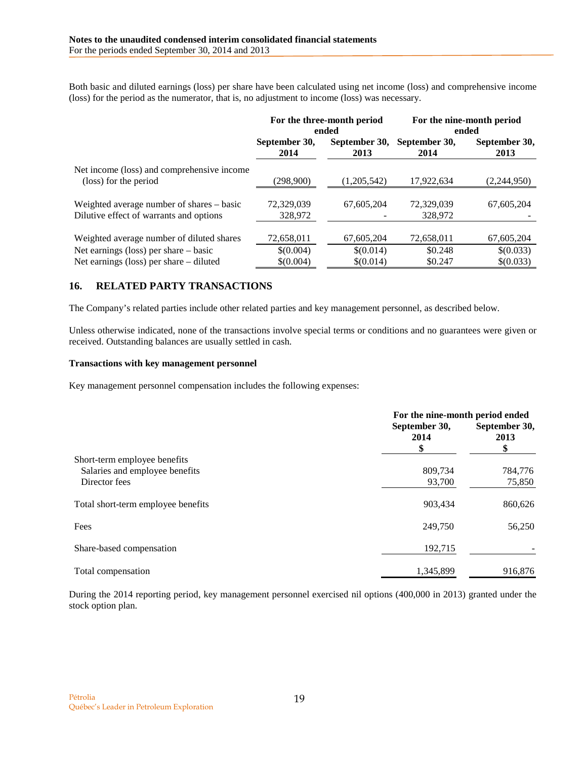Both basic and diluted earnings (loss) per share have been calculated using net income (loss) and comprehensive income (loss) for the period as the numerator, that is, no adjustment to income (loss) was necessary.

|                                                                                      | For the three-month period<br>ended |                        | For the nine-month period<br>ended |                        |
|--------------------------------------------------------------------------------------|-------------------------------------|------------------------|------------------------------------|------------------------|
|                                                                                      | September 30,<br>2014               | September 30,<br>2013  | September 30,<br>2014              | September 30,<br>2013  |
| Net income (loss) and comprehensive income<br>(loss) for the period                  | (298.900)                           | (1,205,542)            | 17,922,634                         | (2,244,950)            |
| Weighted average number of shares – basic<br>Dilutive effect of warrants and options | 72,329,039<br>328,972               | 67.605.204             | 72,329,039<br>328,972              | 67,605,204             |
| Weighted average number of diluted shares                                            | 72,658,011                          | 67,605,204             | 72,658,011                         | 67,605,204             |
| Net earnings (loss) per share $-$ basic<br>Net earnings (loss) per share – diluted   | \$(0.004)<br>\$(0.004)              | \$(0.014)<br>\$(0.014) | \$0.248<br>\$0.247                 | \$(0.033)<br>\$(0.033) |

# <span id="page-18-0"></span>**16. RELATED PARTY TRANSACTIONS**

The Company's related parties include other related parties and key management personnel, as described below.

Unless otherwise indicated, none of the transactions involve special terms or conditions and no guarantees were given or received. Outstanding balances are usually settled in cash.

### **Transactions with key management personnel**

Key management personnel compensation includes the following expenses:

|                                    | For the nine-month period ended<br>September 30,<br>2014<br>\$ |         |  |
|------------------------------------|----------------------------------------------------------------|---------|--|
| Short-term employee benefits       |                                                                |         |  |
| Salaries and employee benefits     | 809,734                                                        | 784,776 |  |
| Director fees                      | 93,700                                                         | 75,850  |  |
| Total short-term employee benefits | 903.434                                                        | 860,626 |  |
| Fees                               | 249,750                                                        | 56,250  |  |
| Share-based compensation           | 192,715                                                        |         |  |
| Total compensation                 | 1,345,899                                                      | 916,876 |  |

During the 2014 reporting period, key management personnel exercised nil options (400,000 in 2013) granted under the stock option plan.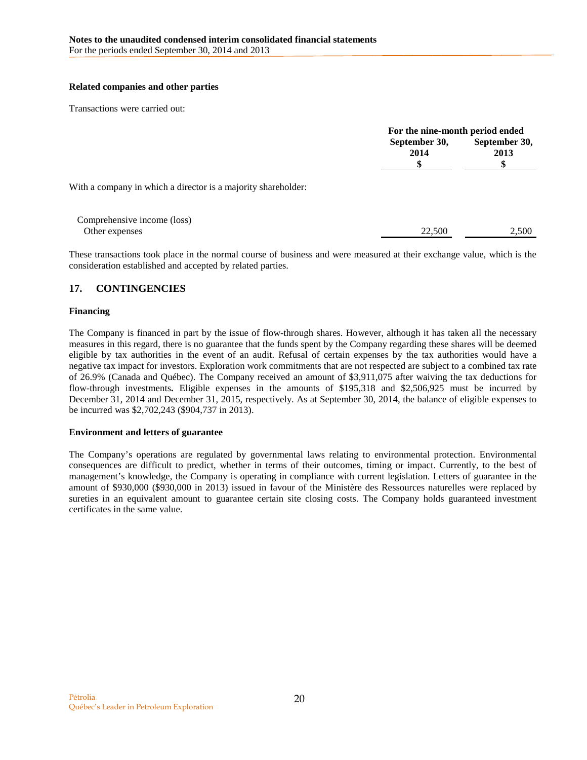## **Related companies and other parties**

Transactions were carried out:

|                                                               |                       | For the nine-month period ended |  |  |
|---------------------------------------------------------------|-----------------------|---------------------------------|--|--|
|                                                               | September 30,<br>2014 | September 30,<br>2013           |  |  |
| With a company in which a director is a majority shareholder: |                       |                                 |  |  |
| Comprehensive income (loss)<br>Other expenses                 | 22,500                | 2,500                           |  |  |

These transactions took place in the normal course of business and were measured at their exchange value, which is the consideration established and accepted by related parties.

## <span id="page-19-0"></span>**17. CONTINGENCIES**

## **Financing**

The Company is financed in part by the issue of flow-through shares. However, although it has taken all the necessary measures in this regard, there is no guarantee that the funds spent by the Company regarding these shares will be deemed eligible by tax authorities in the event of an audit. Refusal of certain expenses by the tax authorities would have a negative tax impact for investors. Exploration work commitments that are not respected are subject to a combined tax rate of 26.9% (Canada and Québec). The Company received an amount of \$3,911,075 after waiving the tax deductions for flow-through investments**.** Eligible expenses in the amounts of \$195,318 and \$2,506,925 must be incurred by December 31, 2014 and December 31, 2015, respectively. As at September 30, 2014, the balance of eligible expenses to be incurred was \$2,702,243 (\$904,737 in 2013).

## **Environment and letters of guarantee**

The Company's operations are regulated by governmental laws relating to environmental protection. Environmental consequences are difficult to predict, whether in terms of their outcomes, timing or impact. Currently, to the best of management's knowledge, the Company is operating in compliance with current legislation. Letters of guarantee in the amount of \$930,000 (\$930,000 in 2013) issued in favour of the Ministère des Ressources naturelles were replaced by sureties in an equivalent amount to guarantee certain site closing costs. The Company holds guaranteed investment certificates in the same value.